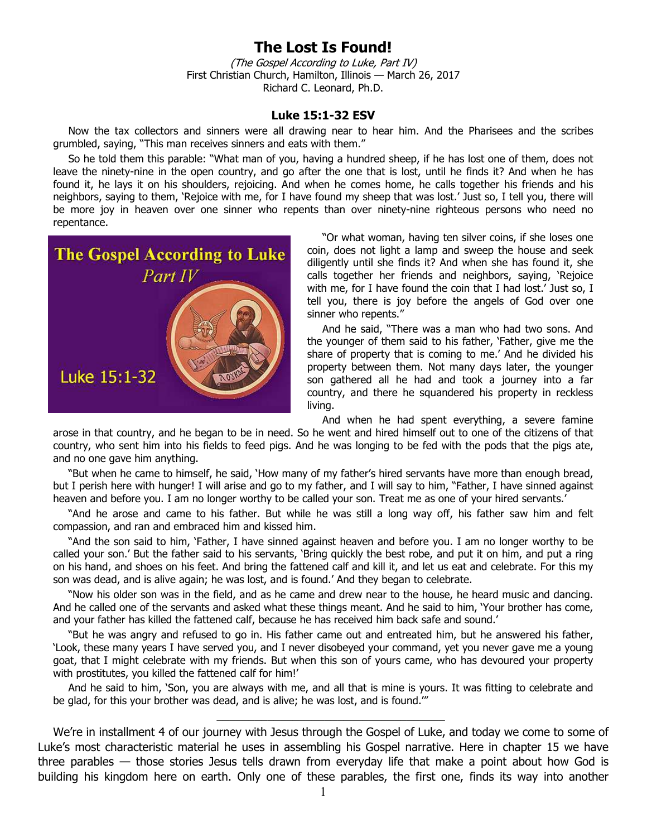## **The Lost Is Found!**

(The Gospel According to Luke, Part IV) First Christian Church, Hamilton, Illinois — March 26, 2017 Richard C. Leonard, Ph.D.

## **Luke 15:1-32 ESV**

Now the tax collectors and sinners were all drawing near to hear him. And the Pharisees and the scribes grumbled, saying, "This man receives sinners and eats with them."

So he told them this parable: "What man of you, having a hundred sheep, if he has lost one of them, does not leave the ninety-nine in the open country, and go after the one that is lost, until he finds it? And when he has found it, he lays it on his shoulders, rejoicing. And when he comes home, he calls together his friends and his neighbors, saying to them, 'Rejoice with me, for I have found my sheep that was lost.' Just so, I tell you, there will be more joy in heaven over one sinner who repents than over ninety-nine righteous persons who need no repentance.



"Or what woman, having ten silver coins, if she loses one coin, does not light a lamp and sweep the house and seek diligently until she finds it? And when she has found it, she calls together her friends and neighbors, saying, 'Rejoice with me, for I have found the coin that I had lost.' Just so, I tell you, there is joy before the angels of God over one sinner who repents."

And he said, "There was a man who had two sons. And the younger of them said to his father, 'Father, give me the share of property that is coming to me.' And he divided his property between them. Not many days later, the younger son gathered all he had and took a journey into a far country, and there he squandered his property in reckless living.

And when he had spent everything, a severe famine

arose in that country, and he began to be in need. So he went and hired himself out to one of the citizens of that country, who sent him into his fields to feed pigs. And he was longing to be fed with the pods that the pigs ate, and no one gave him anything.

"But when he came to himself, he said, 'How many of my father's hired servants have more than enough bread, but I perish here with hunger! I will arise and go to my father, and I will say to him, "Father, I have sinned against heaven and before you. I am no longer worthy to be called your son. Treat me as one of your hired servants.'

"And he arose and came to his father. But while he was still a long way off, his father saw him and felt compassion, and ran and embraced him and kissed him.

"And the son said to him, 'Father, I have sinned against heaven and before you. I am no longer worthy to be called your son.' But the father said to his servants, 'Bring quickly the best robe, and put it on him, and put a ring on his hand, and shoes on his feet. And bring the fattened calf and kill it, and let us eat and celebrate. For this my son was dead, and is alive again; he was lost, and is found.' And they began to celebrate.

"Now his older son was in the field, and as he came and drew near to the house, he heard music and dancing. And he called one of the servants and asked what these things meant. And he said to him, 'Your brother has come, and your father has killed the fattened calf, because he has received him back safe and sound.'

"But he was angry and refused to go in. His father came out and entreated him, but he answered his father, 'Look, these many years I have served you, and I never disobeyed your command, yet you never gave me a young goat, that I might celebrate with my friends. But when this son of yours came, who has devoured your property with prostitutes, you killed the fattened calf for him!'

And he said to him, 'Son, you are always with me, and all that is mine is yours. It was fitting to celebrate and be glad, for this your brother was dead, and is alive; he was lost, and is found.'"

 $\_$ 

We're in installment 4 of our journey with Jesus through the Gospel of Luke, and today we come to some of Luke's most characteristic material he uses in assembling his Gospel narrative. Here in chapter 15 we have three parables — those stories Jesus tells drawn from everyday life that make a point about how God is building his kingdom here on earth. Only one of these parables, the first one, finds its way into another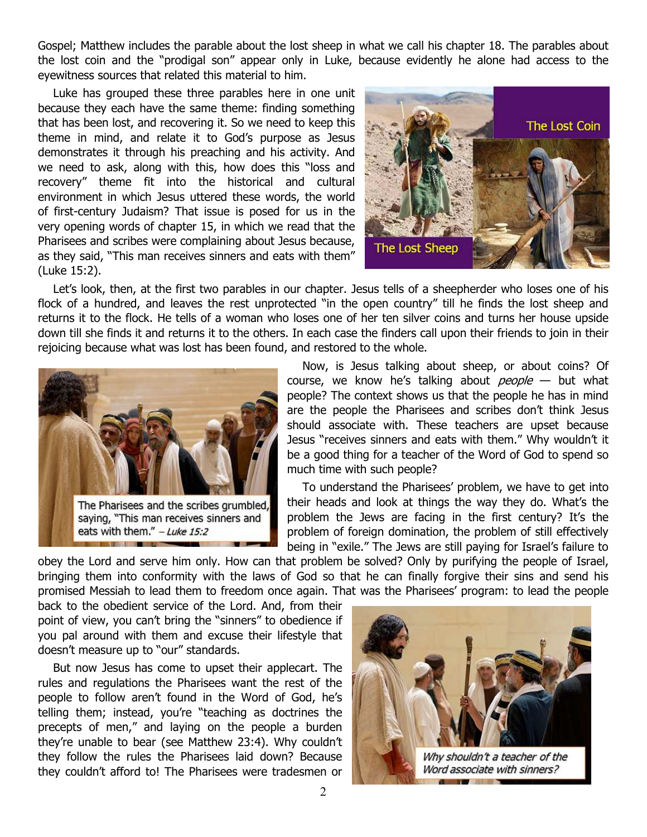Gospel; Matthew includes the parable about the lost sheep in what we call his chapter 18. The parables about the lost coin and the "prodigal son" appear only in Luke, because evidently he alone had access to the eyewitness sources that related this material to him.

Luke has grouped these three parables here in one unit because they each have the same theme: finding something that has been lost, and recovering it. So we need to keep this theme in mind, and relate it to God's purpose as Jesus demonstrates it through his preaching and his activity. And we need to ask, along with this, how does this "loss and recovery" theme fit into the historical and cultural environment in which Jesus uttered these words, the world of first-century Judaism? That issue is posed for us in the very opening words of chapter 15, in which we read that the Pharisees and scribes were complaining about Jesus because, as they said, "This man receives sinners and eats with them" (Luke 15:2).



Let's look, then, at the first two parables in our chapter. Jesus tells of a sheepherder who loses one of his flock of a hundred, and leaves the rest unprotected "in the open country" till he finds the lost sheep and returns it to the flock. He tells of a woman who loses one of her ten silver coins and turns her house upside down till she finds it and returns it to the others. In each case the finders call upon their friends to join in their rejoicing because what was lost has been found, and restored to the whole.



Now, is Jesus talking about sheep, or about coins? Of course, we know he's talking about  $people$  — but what people? The context shows us that the people he has in mind are the people the Pharisees and scribes don't think Jesus should associate with. These teachers are upset because Jesus "receives sinners and eats with them." Why wouldn't it be a good thing for a teacher of the Word of God to spend so much time with such people?

To understand the Pharisees' problem, we have to get into their heads and look at things the way they do. What's the problem the Jews are facing in the first century? It's the problem of foreign domination, the problem of still effectively being in "exile." The Jews are still paying for Israel's failure to

obey the Lord and serve him only. How can that problem be solved? Only by purifying the people of Israel, bringing them into conformity with the laws of God so that he can finally forgive their sins and send his promised Messiah to lead them to freedom once again. That was the Pharisees' program: to lead the people

back to the obedient service of the Lord. And, from their point of view, you can't bring the "sinners" to obedience if you pal around with them and excuse their lifestyle that doesn't measure up to "our" standards.

But now Jesus has come to upset their applecart. The rules and regulations the Pharisees want the rest of the people to follow aren't found in the Word of God, he's telling them; instead, you're "teaching as doctrines the precepts of men," and laying on the people a burden they're unable to bear (see Matthew 23:4). Why couldn't they follow the rules the Pharisees laid down? Because they couldn't afford to! The Pharisees were tradesmen or

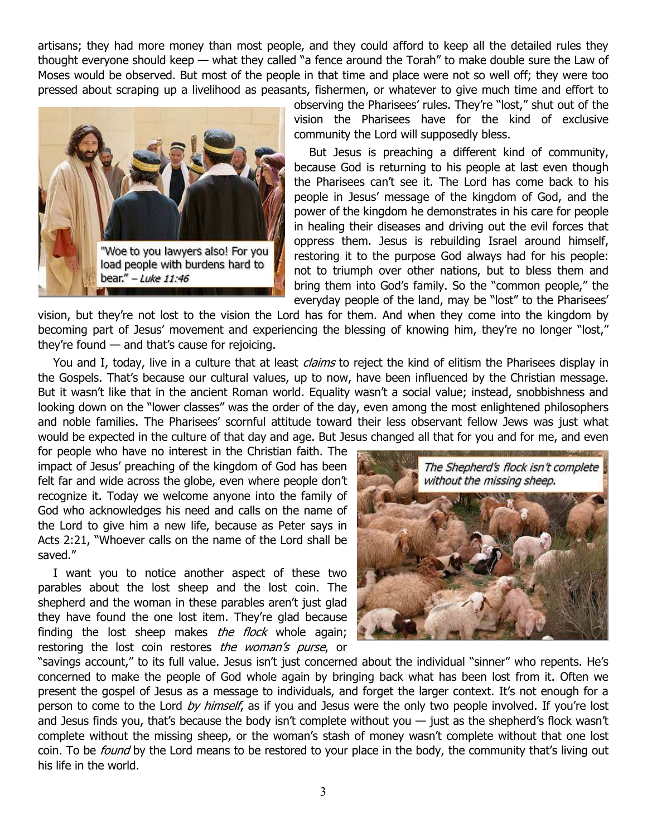artisans; they had more money than most people, and they could afford to keep all the detailed rules they thought everyone should keep — what they called "a fence around the Torah" to make double sure the Law of Moses would be observed. But most of the people in that time and place were not so well off; they were too pressed about scraping up a livelihood as peasants, fishermen, or whatever to give much time and effort to



observing the Pharisees' rules. They're "lost," shut out of the vision the Pharisees have for the kind of exclusive community the Lord will supposedly bless.

But Jesus is preaching a different kind of community, because God is returning to his people at last even though the Pharisees can't see it. The Lord has come back to his people in Jesus' message of the kingdom of God, and the power of the kingdom he demonstrates in his care for people in healing their diseases and driving out the evil forces that oppress them. Jesus is rebuilding Israel around himself, restoring it to the purpose God always had for his people: not to triumph over other nations, but to bless them and bring them into God's family. So the "common people," the everyday people of the land, may be "lost" to the Pharisees'

vision, but they're not lost to the vision the Lord has for them. And when they come into the kingdom by becoming part of Jesus' movement and experiencing the blessing of knowing him, they're no longer "lost," they're found — and that's cause for rejoicing.

You and I, today, live in a culture that at least *claims* to reject the kind of elitism the Pharisees display in the Gospels. That's because our cultural values, up to now, have been influenced by the Christian message. But it wasn't like that in the ancient Roman world. Equality wasn't a social value; instead, snobbishness and looking down on the "lower classes" was the order of the day, even among the most enlightened philosophers and noble families. The Pharisees' scornful attitude toward their less observant fellow Jews was just what would be expected in the culture of that day and age. But Jesus changed all that for you and for me, and even

for people who have no interest in the Christian faith. The impact of Jesus' preaching of the kingdom of God has been felt far and wide across the globe, even where people don't recognize it. Today we welcome anyone into the family of God who acknowledges his need and calls on the name of the Lord to give him a new life, because as Peter says in Acts 2:21, "Whoever calls on the name of the Lord shall be saved."

I want you to notice another aspect of these two parables about the lost sheep and the lost coin. The shepherd and the woman in these parables aren't just glad they have found the one lost item. They're glad because finding the lost sheep makes *the flock* whole again; restoring the lost coin restores the woman's purse, or



"savings account," to its full value. Jesus isn't just concerned about the individual "sinner" who repents. He's concerned to make the people of God whole again by bringing back what has been lost from it. Often we present the gospel of Jesus as a message to individuals, and forget the larger context. It's not enough for a person to come to the Lord by himself, as if you and Jesus were the only two people involved. If you're lost and Jesus finds you, that's because the body isn't complete without you  $-$  just as the shepherd's flock wasn't complete without the missing sheep, or the woman's stash of money wasn't complete without that one lost coin. To be *found* by the Lord means to be restored to your place in the body, the community that's living out his life in the world.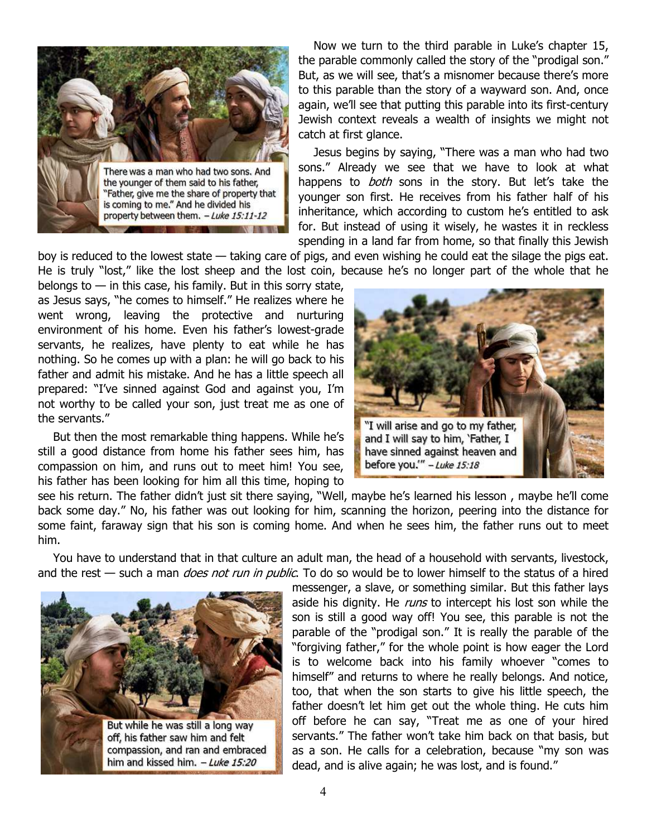

Now we turn to the third parable in Luke's chapter 15, the parable commonly called the story of the "prodigal son." But, as we will see, that's a misnomer because there's more to this parable than the story of a wayward son. And, once again, we'll see that putting this parable into its first-century Jewish context reveals a wealth of insights we might not catch at first glance.

Jesus begins by saying, "There was a man who had two sons." Already we see that we have to look at what happens to *both* sons in the story. But let's take the younger son first. He receives from his father half of his inheritance, which according to custom he's entitled to ask for. But instead of using it wisely, he wastes it in reckless spending in a land far from home, so that finally this Jewish

boy is reduced to the lowest state — taking care of pigs, and even wishing he could eat the silage the pigs eat. He is truly "lost," like the lost sheep and the lost coin, because he's no longer part of the whole that he

belongs to  $-$  in this case, his family. But in this sorry state, as Jesus says, "he comes to himself." He realizes where he went wrong, leaving the protective and nurturing environment of his home. Even his father's lowest-grade servants, he realizes, have plenty to eat while he has nothing. So he comes up with a plan: he will go back to his father and admit his mistake. And he has a little speech all prepared: "I've sinned against God and against you, I'm not worthy to be called your son, just treat me as one of the servants."

But then the most remarkable thing happens. While he's still a good distance from home his father sees him, has compassion on him, and runs out to meet him! You see, his father has been looking for him all this time, hoping to



see his return. The father didn't just sit there saying, "Well, maybe he's learned his lesson , maybe he'll come back some day." No, his father was out looking for him, scanning the horizon, peering into the distance for some faint, faraway sign that his son is coming home. And when he sees him, the father runs out to meet him.

You have to understand that in that culture an adult man, the head of a household with servants, livestock, and the rest — such a man *does not run in public*. To do so would be to lower himself to the status of a hired



messenger, a slave, or something similar. But this father lays aside his dignity. He *runs* to intercept his lost son while the son is still a good way off! You see, this parable is not the parable of the "prodigal son." It is really the parable of the "forgiving father," for the whole point is how eager the Lord is to welcome back into his family whoever "comes to himself" and returns to where he really belongs. And notice, too, that when the son starts to give his little speech, the father doesn't let him get out the whole thing. He cuts him off before he can say, "Treat me as one of your hired servants." The father won't take him back on that basis, but as a son. He calls for a celebration, because "my son was dead, and is alive again; he was lost, and is found."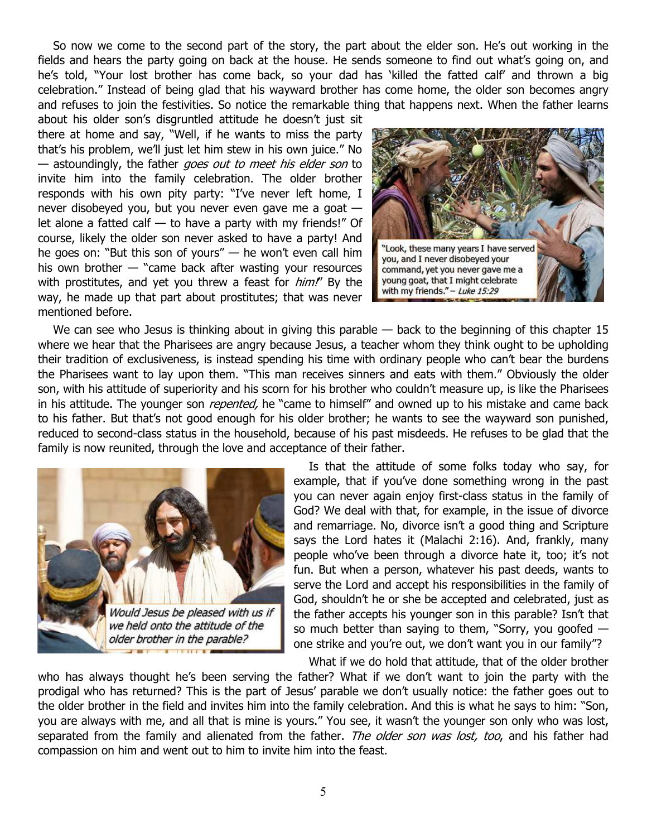So now we come to the second part of the story, the part about the elder son. He's out working in the fields and hears the party going on back at the house. He sends someone to find out what's going on, and he's told, "Your lost brother has come back, so your dad has 'killed the fatted calf' and thrown a big celebration." Instead of being glad that his wayward brother has come home, the older son becomes angry and refuses to join the festivities. So notice the remarkable thing that happens next. When the father learns

about his older son's disgruntled attitude he doesn't just sit there at home and say, "Well, if he wants to miss the party that's his problem, we'll just let him stew in his own juice." No — astoundingly, the father goes out to meet his elder son to invite him into the family celebration. The older brother responds with his own pity party: "I've never left home, I never disobeyed you, but you never even gave me a goat let alone a fatted calf  $-$  to have a party with my friends!" Of course, likely the older son never asked to have a party! And he goes on: "But this son of yours" — he won't even call him his own brother — "came back after wasting your resources with prostitutes, and yet you threw a feast for *him!*" By the way, he made up that part about prostitutes; that was never mentioned before.



We can see who Jesus is thinking about in giving this parable — back to the beginning of this chapter 15 where we hear that the Pharisees are angry because Jesus, a teacher whom they think ought to be upholding their tradition of exclusiveness, is instead spending his time with ordinary people who can't bear the burdens the Pharisees want to lay upon them. "This man receives sinners and eats with them." Obviously the older son, with his attitude of superiority and his scorn for his brother who couldn't measure up, is like the Pharisees in his attitude. The younger son *repented*, he "came to himself" and owned up to his mistake and came back to his father. But that's not good enough for his older brother; he wants to see the wayward son punished, reduced to second-class status in the household, because of his past misdeeds. He refuses to be glad that the family is now reunited, through the love and acceptance of their father.



Is that the attitude of some folks today who say, for example, that if you've done something wrong in the past you can never again enjoy first-class status in the family of God? We deal with that, for example, in the issue of divorce and remarriage. No, divorce isn't a good thing and Scripture says the Lord hates it (Malachi 2:16). And, frankly, many people who've been through a divorce hate it, too; it's not fun. But when a person, whatever his past deeds, wants to serve the Lord and accept his responsibilities in the family of God, shouldn't he or she be accepted and celebrated, just as the father accepts his younger son in this parable? Isn't that so much better than saying to them, "Sorry, you goofed  $$ one strike and you're out, we don't want you in our family"?

What if we do hold that attitude, that of the older brother who has always thought he's been serving the father? What if we don't want to join the party with the prodigal who has returned? This is the part of Jesus' parable we don't usually notice: the father goes out to the older brother in the field and invites him into the family celebration. And this is what he says to him: "Son, you are always with me, and all that is mine is yours." You see, it wasn't the younger son only who was lost, separated from the family and alienated from the father. The older son was lost, too, and his father had compassion on him and went out to him to invite him into the feast.